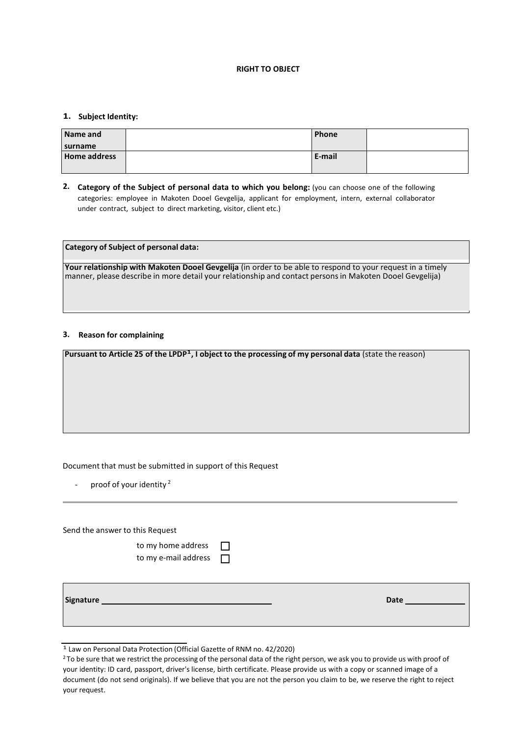### **RIGHT TO OBJECT**

# **1. Subject Identity:**

| Name and            | Phone  |  |
|---------------------|--------|--|
| surname             |        |  |
| <b>Home address</b> | E-mail |  |
|                     |        |  |

**2. Category of the Subject of personal data to which you belong:** (you can choose one of the following categories: employee in Makoten Dooel Gevgelija, applicant for employment, intern, external collaborator under contract, subject to direct marketing, visitor, client etc.)

| Category of Subject of personal data:                                                                                                                                                                                  |  |
|------------------------------------------------------------------------------------------------------------------------------------------------------------------------------------------------------------------------|--|
| Your relationship with Makoten Dooel Gevgelija (in order to be able to respond to your request in a timely<br>manner, please describe in more detail your relationship and contact persons in Makoten Dooel Gevgelija) |  |

## **3. Reason for complaining**

Pursuant to Article 25 of the LPDP<sup>1</sup>, I object to the processing of my personal data (state the reason)

## Document that must be submitted in support of this Request

- proof of your identity<sup>2</sup>

Send the answer to this Request

| to my home address   |   |
|----------------------|---|
| to my e-mail address | Е |

| Signature | <b>Date</b> |
|-----------|-------------|
|           |             |

<sup>1</sup> Law on Personal Data Protection (Official Gazette of RNM no. 42/2020)

<sup>&</sup>lt;sup>2</sup> To be sure that we restrict the processing of the personal data of the right person, we ask you to provide us with proof of your identity: ID card, passport, driver's license, birth certificate. Please provide us with a copy or scanned image of a document (do not send originals). If we believe that you are not the person you claim to be, we reserve the right to reject your request.